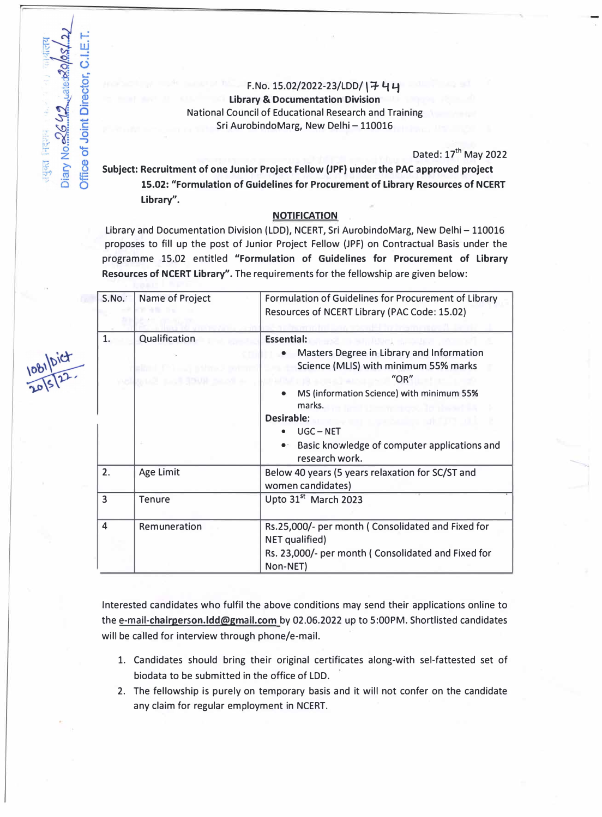## F.No. 15.02/2022-23/LDD/ \+ **4** y **Library** & **Documentation Division** National Council of Educational Research and Training Sri AurobindoMarg, New Delhi - 110016

Diary No. 26 42 Juale & O/OS4

तयुक्त निदशव

Office of Joint Director, C.I

Dated:  $17<sup>th</sup>$  May 2022

Subject: Recruitment of one Junior Project Fellow (JPF) under the PAC approved project **15.02: "Formulation of Guidelines for Procurement of Library Resources of NCERT Library''.** 

## **NOTIFICATtON**

Library and Documentation Division (LDD), NCERT, Sri AurobindoMarg, New Delhi - 110016 proposes to fill up the post of Junior Project Fellow (JPF) on Contractual Basis under the programme 15.02 entitled **"Formulation of Guidelines for Procurement of Library Resources of NCERT Library''.** The requirements for the fellowship are given below:

| S.No. | Name of Project                              | Formulation of Guidelines for Procurement of Library<br>Resources of NCERT Library (PAC Code: 15.02)                                                                                                                                                                                                                                           |  |
|-------|----------------------------------------------|------------------------------------------------------------------------------------------------------------------------------------------------------------------------------------------------------------------------------------------------------------------------------------------------------------------------------------------------|--|
| 1.    | Qualification<br><b>BACK ROLLING SEAT 30</b> | <b>Essential:</b><br>Masters Degree in Library and Information<br>$\bullet$<br>Science (MLIS) with minimum 55% marks<br>$^{\prime\prime}$ OR $^{\prime\prime}$<br>MS (information Science) with minimum 55%<br>marks.<br>and the winters of the<br>Desirable:<br>$UGC - NET$<br>Basic knowledge of computer applications and<br>research work. |  |
| 2.    | Age Limit                                    | Below 40 years (5 years relaxation for SC/ST and<br>women candidates)                                                                                                                                                                                                                                                                          |  |
| 3     | <b>Tenure</b>                                | Upto 31 <sup>st</sup> March 2023                                                                                                                                                                                                                                                                                                               |  |
| 4     | Remuneration                                 | Rs.25,000/- per month (Consolidated and Fixed for<br>NET qualified)<br>Rs. 23,000/- per month (Consolidated and Fixed for<br>Non-NET)                                                                                                                                                                                                          |  |

Interested candidates who fulfil the above conditions may send their applications online to the e-mail-chairperson.Idd@gmail.com by 02.06.2022 up to 5:00PM. Shortlisted candidates will be called for interview through phone/e-mail.

- 1. Candidates should bring their original certificates along-with sel-fattested set of biodata to be submitted in the office of LOO.
- 2. The fellowship is purely on temporary basis and it will not confer on the candidate any claim for regular employment in NCERT.